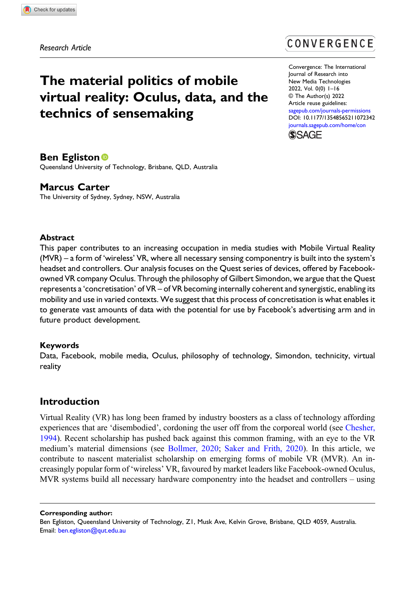Research Article

# The material politics of mobile virtual reality: Oculus, data, and the technics of sensemaking

# CONVERGENCE

Convergence: The International Journal of Research into New Media Technologies 2022, Vol. 0(0) 1–16 © The Author(s) 2022 Article reuse guidelines: [sagepub.com/journals-permissions](https://uk.sagepub.com/en-gb/journals-permissions) DOI: [10.1177/13548565211072342](https://doi.org/10.1177/13548565211072342) [journals.sagepub.com/home/con](https://journals.sagepub.com/home/con) **SSAGE** 

# **Ben Egliston**<sup>®</sup>

Queensland University of Technology, Brisbane, QLD, Australia

# Marcus Carter

The University of Sydney, Sydney, NSW, Australia

#### **Abstract**

This paper contributes to an increasing occupation in media studies with Mobile Virtual Reality (MVR) – a form of 'wireless' VR, where all necessary sensing componentry is built into the system's headset and controllers. Our analysis focuses on the Quest series of devices, offered by Facebookowned VR company Oculus. Through the philosophy of Gilbert Simondon, we argue that the Quest represents a 'concretisation' of VR – of VR becoming internally coherent and synergistic, enabling its mobility and use in varied contexts. We suggest that this process of concretisation is what enables it to generate vast amounts of data with the potential for use by Facebook's advertising arm and in future product development.

# Keywords

Data, Facebook, mobile media, Oculus, philosophy of technology, Simondon, technicity, virtual reality

# Introduction

Virtual Reality (VR) has long been framed by industry boosters as a class of technology affording experiences that are 'disembodied', cordoning the user off from the corporeal world (see [Chesher,](#page-13-0) [1994](#page-13-0)). Recent scholarship has pushed back against this common framing, with an eye to the VR medium's material dimensions (see [Bollmer, 2020;](#page-12-0) [Saker and Frith, 2020](#page-14-0)). In this article, we contribute to nascent materialist scholarship on emerging forms of mobile VR (MVR). An increasingly popular form of 'wireless' VR, favoured by market leaders like Facebook-owned Oculus, MVR systems build all necessary hardware componentry into the headset and controllers – using

Corresponding author:

Ben Egliston, Queensland University of Technology, Z1, Musk Ave, Kelvin Grove, Brisbane, QLD 4059, Australia. Email: [ben.egliston@qut.edu.au](mailto:ben.egliston@qut.edu.au)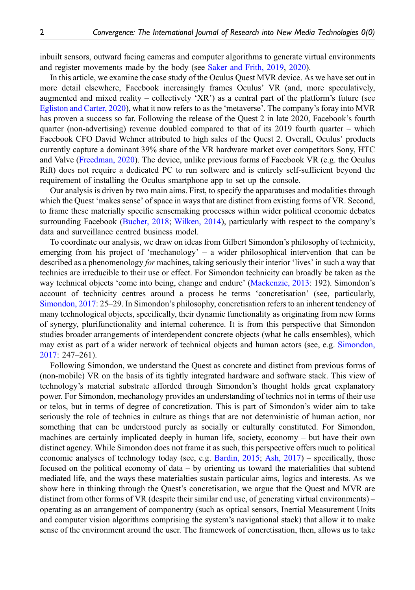inbuilt sensors, outward facing cameras and computer algorithms to generate virtual environments and register movements made by the body (see [Saker and Frith, 2019,](#page-14-1) [2020\)](#page-14-0).

In this article, we examine the case study of the Oculus Quest MVR device. As we have set out in more detail elsewhere, Facebook increasingly frames Oculus' VR (and, more speculatively, augmented and mixed reality – collectively 'XR') as a central part of the platform's future (see [Egliston and Carter, 2020](#page-13-1)), what it now refers to as the 'metaverse'. The company's foray into MVR has proven a success so far. Following the release of the Quest 2 in late 2020, Facebook's fourth quarter (non-advertising) revenue doubled compared to that of its 2019 fourth quarter – which Facebook CFO David Wehner attributed to high sales of the Quest 2. Overall, Oculus' products currently capture a dominant 39% share of the VR hardware market over competitors Sony, HTC and Valve ([Freedman, 2020](#page-13-2)). The device, unlike previous forms of Facebook VR (e.g. the Oculus Rift) does not require a dedicated PC to run software and is entirely self-sufficient beyond the requirement of installing the Oculus smartphone app to set up the console.

Our analysis is driven by two main aims. First, to specify the apparatuses and modalities through which the Quest 'makes sense' of space in ways that are distinct from existing forms of VR. Second, to frame these materially specific sensemaking processes within wider political economic debates surrounding Facebook [\(Bucher, 2018](#page-12-1); [Wilken, 2014\)](#page-15-0), particularly with respect to the company's data and surveillance centred business model.

To coordinate our analysis, we draw on ideas from Gilbert Simondon's philosophy of technicity, emerging from his project of 'mechanology' – a wider philosophical intervention that can be described as a phenomenology for machines, taking seriously their interior 'lives' in such a way that technics are irreducible to their use or effect. For Simondon technicity can broadly be taken as the way technical objects 'come into being, change and endure' ([Mackenzie, 2013](#page-14-2): 192). Simondon's account of technicity centres around a process he terms 'concretisation' (see, particularly, [Simondon, 2017](#page-14-3): 25–29. In Simondon's philosophy, concretisation refers to an inherent tendency of many technological objects, specifically, their dynamic functionality as originating from new forms of synergy, plurifunctionality and internal coherence. It is from this perspective that Simondon studies broader arrangements of interdependent concrete objects (what he calls ensembles), which may exist as part of a wider network of technical objects and human actors (see, e.g. [Simondon,](#page-14-3) [2017](#page-14-3): 247–261).

Following Simondon, we understand the Quest as concrete and distinct from previous forms of (non-mobile) VR on the basis of its tightly integrated hardware and software stack. This view of technology's material substrate afforded through Simondon's thought holds great explanatory power. For Simondon, mechanology provides an understanding of technics not in terms of their use or telos, but in terms of degree of concretization. This is part of Simondon's wider aim to take seriously the role of technics in culture as things that are not deterministic of human action, nor something that can be understood purely as socially or culturally constituted. For Simondon, machines are certainly implicated deeply in human life, society, economy – but have their own distinct agency. While Simondon does not frame it as such, this perspective offers much to political economic analyses of technology today (see, e.g. [Bardin, 2015;](#page-12-2) [Ash, 2017\)](#page-12-3) – specifically, those focused on the political economy of data – by orienting us toward the materialities that subtend mediated life, and the ways these materialties sustain particular aims, logics and interests. As we show here in thinking through the Quest's concretisation, we argue that the Quest and MVR are distinct from other forms of VR (despite their similar end use, of generating virtual environments) – operating as an arrangement of componentry (such as optical sensors, Inertial Measurement Units and computer vision algorithms comprising the system's navigational stack) that allow it to make sense of the environment around the user. The framework of concretisation, then, allows us to take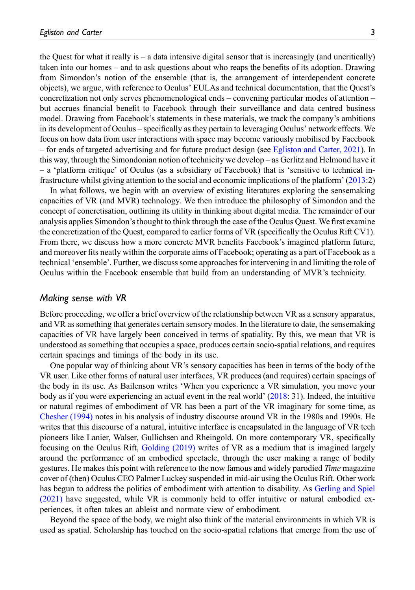the Quest for what it really is  $-$  a data intensive digital sensor that is increasingly (and uncritically) taken into our homes – and to ask questions about who reaps the benefits of its adoption. Drawing from Simondon's notion of the ensemble (that is, the arrangement of interdependent concrete objects), we argue, with reference to Oculus' EULAs and technical documentation, that the Quest's concretization not only serves phenomenological ends – convening particular modes of attention – but accrues financial benefit to Facebook through their surveillance and data centred business model. Drawing from Facebook's statements in these materials, we track the company's ambitions in its development of Oculus – specifically as they pertain to leveraging Oculus' network effects. We focus on how data from user interactions with space may become variously mobilised by Facebook – for ends of targeted advertising and for future product design (see [Egliston and Carter, 2021](#page-13-3)). In this way, through the Simondonian notion of technicity we develop – as Gerlitz and Helmond have it – a 'platform critique' of Oculus (as a subsidiary of Facebook) that is 'sensitive to technical infrastructure whilst giving attention to the social and economic implications of the platform' ([2013:](#page-13-4)2)

In what follows, we begin with an overview of existing literatures exploring the sensemaking capacities of VR (and MVR) technology. We then introduce the philosophy of Simondon and the concept of concretisation, outlining its utility in thinking about digital media. The remainder of our analysis applies Simondon's thought to think through the case of the Oculus Quest. We first examine the concretization of the Quest, compared to earlier forms of VR (specifically the Oculus Rift CV1). From there, we discuss how a more concrete MVR benefits Facebook's imagined platform future, and moreover fits neatly within the corporate aims of Facebook; operating as a part of Facebook as a technical 'ensemble'. Further, we discuss some approaches for intervening in and limiting the role of Oculus within the Facebook ensemble that build from an understanding of MVR's technicity.

#### Making sense with VR

Before proceeding, we offer a brief overview of the relationship between VR as a sensory apparatus, and VR as something that generates certain sensory modes. In the literature to date, the sensemaking capacities of VR have largely been conceived in terms of spatiality. By this, we mean that VR is understood as something that occupies a space, produces certain socio-spatial relations, and requires certain spacings and timings of the body in its use.

One popular way of thinking about VR's sensory capacities has been in terms of the body of the VR user. Like other forms of natural user interfaces, VR produces (and requires) certain spacings of the body in its use. As Bailenson writes 'When you experience a VR simulation, you move your body as if you were experiencing an actual event in the real world' ([2018:](#page-12-4) 31). Indeed, the intuitive or natural regimes of embodiment of VR has been a part of the VR imaginary for some time, as [Chesher \(1994\)](#page-13-0) notes in his analysis of industry discourse around VR in the 1980s and 1990s. He writes that this discourse of a natural, intuitive interface is encapsulated in the language of VR tech pioneers like Lanier, Walser, Gullichsen and Rheingold. On more contemporary VR, specifically focusing on the Oculus Rift, [Golding \(2019\)](#page-13-5) writes of VR as a medium that is imagined largely around the performance of an embodied spectacle, through the user making a range of bodily gestures. He makes this point with reference to the now famous and widely parodied Time magazine cover of (then) Oculus CEO Palmer Luckey suspended in mid-air using the Oculus Rift. Other work has begun to address the politics of embodiment with attention to disability. As [Gerling and Spiel](#page-13-6) [\(2021\)](#page-13-6) have suggested, while VR is commonly held to offer intuitive or natural embodied experiences, it often takes an ableist and normate view of embodiment.

Beyond the space of the body, we might also think of the material environments in which VR is used as spatial. Scholarship has touched on the socio-spatial relations that emerge from the use of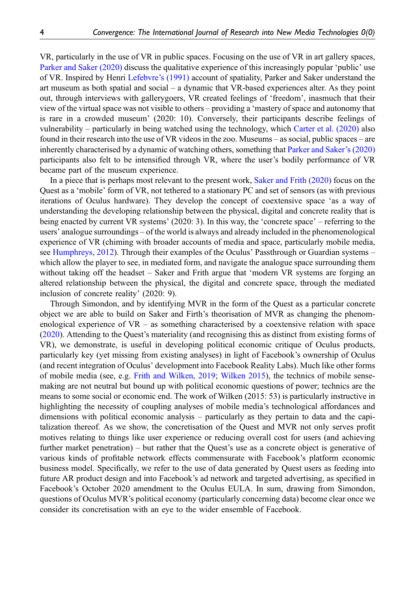VR, particularly in the use of VR in public spaces. Focusing on the use of VR in art gallery spaces, [Parker and Saker \(2020\)](#page-14-4) discuss the qualitative experience of this increasingly popular 'public' use of VR. Inspired by Henri [Lefebvre](#page-14-5)'s (1991) account of spatiality, Parker and Saker understand the art museum as both spatial and social – a dynamic that VR-based experiences alter. As they point out, through interviews with gallerygoers, VR created feelings of 'freedom', inasmuch that their view of the virtual space was not visible to others – providing a 'mastery of space and autonomy that is rare in a crowded museum' (2020: 10). Conversely, their participants describe feelings of vulnerability – particularly in being watched using the technology, which [Carter et al. \(2020\)](#page-12-5) also found in their research into the use of VR videos in the zoo. Museums – as social, public spaces – are inherently characterised by a dynamic of watching others, something that [Parker and Saker](#page-14-4)'s (2020) participants also felt to be intensified through VR, where the user's bodily performance of VR became part of the museum experience.

In a piece that is perhaps most relevant to the present work, [Saker and Frith \(2020\)](#page-14-0) focus on the Quest as a 'mobile' form of VR, not tethered to a stationary PC and set of sensors (as with previous iterations of Oculus hardware). They develop the concept of coextensive space 'as a way of understanding the developing relationship between the physical, digital and concrete reality that is being enacted by current VR systems' (2020: 3). In this way, the 'concrete space' – referring to the users' analogue surroundings – of the world is always and already included in the phenomenological experience of VR (chiming with broader accounts of media and space, particularly mobile media, see [Humphreys, 2012](#page-13-7)). Through their examples of the Oculus' Passthrough or Guardian systems – which allow the player to see, in mediated form, and navigate the analogue space surrounding them without taking off the headset – Saker and Frith argue that 'modern VR systems are forging an altered relationship between the physical, the digital and concrete space, through the mediated inclusion of concrete reality' (2020: 9).

Through Simondon, and by identifying MVR in the form of the Quest as a particular concrete object we are able to build on Saker and Firth's theorisation of MVR as changing the phenomenological experience of  $VR -$  as something characterised by a coextensive relation with space [\(2020](#page-14-6)). Attending to the Quest's materiality (and recognising this as distinct from existing forms of VR), we demonstrate, is useful in developing political economic critique of Oculus products, particularly key (yet missing from existing analyses) in light of Facebook's ownership of Oculus (and recent integration of Oculus' development into Facebook Reality Labs). Much like other forms of mobile media (see, e.g. [Frith and Wilken, 2019](#page-13-8); [Wilken 2015](#page-15-1)), the technics of mobile sensemaking are not neutral but bound up with political economic questions of power; technics are the means to some social or economic end. The work of Wilken (2015: 53) is particularly instructive in highlighting the necessity of coupling analyses of mobile media's technological affordances and dimensions with political economic analysis – particularly as they pertain to data and the capitalization thereof. As we show, the concretisation of the Quest and MVR not only serves profit motives relating to things like user experience or reducing overall cost for users (and achieving further market penetration) – but rather that the Quest's use as a concrete object is generative of various kinds of profitable network effects commensurate with Facebook's platform economic business model. Specifically, we refer to the use of data generated by Quest users as feeding into future AR product design and into Facebook's ad network and targeted advertising, as specified in Facebook's October 2020 amendment to the Oculus EULA. In sum, drawing from Simondon, questions of Oculus MVR's political economy (particularly concerning data) become clear once we consider its concretisation with an eye to the wider ensemble of Facebook.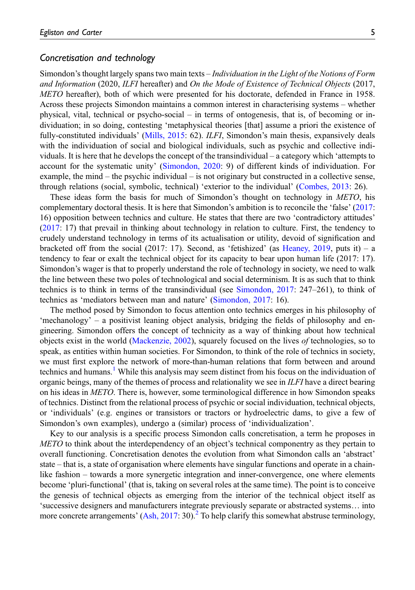#### Concretisation and technology

Simondon's thought largely spans two main texts – Individuation in the Light of the Notions of Form and Information (2020, ILFI hereafter) and On the Mode of Existence of Technical Objects (2017, METO hereafter), both of which were presented for his doctorate, defended in France in 1958. Across these projects Simondon maintains a common interest in characterising systems – whether physical, vital, technical or psycho-social – in terms of ontogenesis, that is, of becoming or individuation; in so doing, contesting 'metaphysical theories [that] assume a priori the existence of fully-constituted individuals' [\(Mills, 2015:](#page-14-7) 62). *ILFI*, Simondon's main thesis, expansively deals with the individuation of social and biological individuals, such as psychic and collective individuals. It is here that he develops the concept of the transindividual – a category which 'attempts to account for the systematic unity' ([Simondon, 2020](#page-14-6): 9) of different kinds of individuation. For example, the mind – the psychic individual – is not originary but constructed in a collective sense, through relations (social, symbolic, technical) 'exterior to the individual' [\(Combes, 2013:](#page-13-9) 26).

These ideas form the basis for much of Simondon's thought on technology in METO, his complementary doctoral thesis. It is here that Simondon's ambition is to reconcile the 'false' [\(2017](#page-14-3): 16) opposition between technics and culture. He states that there are two 'contradictory attitudes' [\(2017](#page-14-3): 17) that prevail in thinking about technology in relation to culture. First, the tendency to crudely understand technology in terms of its actualisation or utility, devoid of signification and bracketed off from the social (2017: 17). Second, as 'fetishized' (as [Heaney, 2019,](#page-13-10) puts it) – a tendency to fear or exalt the technical object for its capacity to bear upon human life (2017: 17). Simondon's wager is that to properly understand the role of technology in society, we need to walk the line between these two poles of technological and social determinism. It is as such that to think technics is to think in terms of the transindividual (see [Simondon, 2017](#page-14-3): 247–261), to think of technics as 'mediators between man and nature' ([Simondon, 2017](#page-14-3): 16).

The method posed by Simondon to focus attention onto technics emerges in his philosophy of 'mechanology' – a positivist leaning object analysis, bridging the fields of philosophy and engineering. Simondon offers the concept of technicity as a way of thinking about how technical objects exist in the world [\(Mackenzie, 2002](#page-14-8)), squarely focused on the lives of technologies, so to speak, as entities within human societies. For Simondon, to think of the role of technics in society, we must first explore the network of more-than-human relations that form between and around technics and humans.<sup>[1](#page-12-6)</sup> While this analysis may seem distinct from his focus on the individuation of organic beings, many of the themes of process and relationality we see in *ILFI* have a direct bearing on his ideas in METO. There is, however, some terminological difference in how Simondon speaks of technics. Distinct from the relational process of psychic or social individuation, technical objects, or 'individuals' (e.g. engines or transistors or tractors or hydroelectric dams, to give a few of Simondon's own examples), undergo a (similar) process of 'individualization'.

Key to our analysis is a specific process Simondon calls concretisation, a term he proposes in METO to think about the interdependency of an object's technical componentry as they pertain to overall functioning. Concretisation denotes the evolution from what Simondon calls an 'abstract' state – that is, a state of organisation where elements have singular functions and operate in a chainlike fashion – towards a more synergetic integration and inner-convergence, one where elements become 'pluri-functional' (that is, taking on several roles at the same time). The point is to conceive the genesis of technical objects as emerging from the interior of the technical object itself as 'successive designers and manufacturers integrate previously separate or abstracted systems… into more concrete arrangements' ([Ash, 2017](#page-12-3): 30).<sup>[2](#page-12-7)</sup> To help clarify this somewhat abstruse terminology,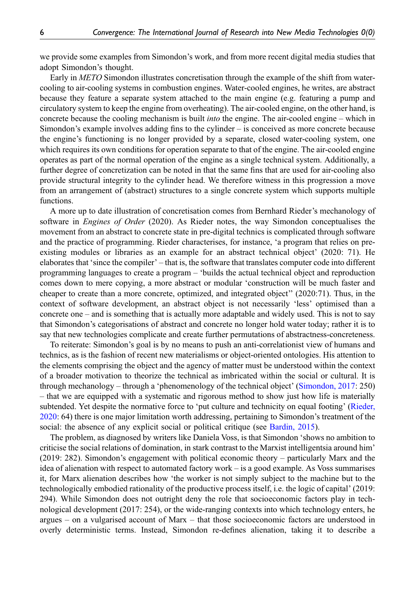we provide some examples from Simondon's work, and from more recent digital media studies that adopt Simondon's thought.

Early in METO Simondon illustrates concretisation through the example of the shift from watercooling to air-cooling systems in combustion engines. Water-cooled engines, he writes, are abstract because they feature a separate system attached to the main engine (e.g. featuring a pump and circulatory system to keep the engine from overheating). The air-cooled engine, on the other hand, is concrete because the cooling mechanism is built into the engine. The air-cooled engine – which in Simondon's example involves adding fins to the cylinder – is conceived as more concrete because the engine's functioning is no longer provided by a separate, closed water-cooling system, one which requires its own conditions for operation separate to that of the engine. The air-cooled engine operates as part of the normal operation of the engine as a single technical system. Additionally, a further degree of concretization can be noted in that the same fins that are used for air-cooling also provide structural integrity to the cylinder head. We therefore witness in this progression a move from an arrangement of (abstract) structures to a single concrete system which supports multiple functions.

A more up to date illustration of concretisation comes from Bernhard Rieder's mechanology of software in *Engines of Order* (2020). As Rieder notes, the way Simondon conceptualises the movement from an abstract to concrete state in pre-digital technics is complicated through software and the practice of programming. Rieder characterises, for instance, 'a program that relies on preexisting modules or libraries as an example for an abstract technical object' (2020: 71). He elaborates that 'since the compiler' – that is, the software that translates computer code into different programming languages to create a program – 'builds the actual technical object and reproduction comes down to mere copying, a more abstract or modular 'construction will be much faster and cheaper to create than a more concrete, optimized, and integrated object'' (2020:71). Thus, in the context of software development, an abstract object is not necessarily 'less' optimised than a concrete one – and is something that is actually more adaptable and widely used. This is not to say that Simondon's categorisations of abstract and concrete no longer hold water today; rather it is to say that new technologies complicate and create further permutations of abstractness-concreteness.

To reiterate: Simondon's goal is by no means to push an anti-correlationist view of humans and technics, as is the fashion of recent new materialisms or object-oriented ontologies. His attention to the elements comprising the object and the agency of matter must be understood within the context of a broader motivation to theorize the technical as imbricated within the social or cultural. It is through mechanology – through a 'phenomenology of the technical object' ([Simondon, 2017:](#page-14-3) 250) – that we are equipped with a systematic and rigorous method to show just how life is materially subtended. Yet despite the normative force to 'put culture and technicity on equal footing' [\(Rieder,](#page-14-9) [2020](#page-14-9): 64) there is one major limitation worth addressing, pertaining to Simondon's treatment of the social: the absence of any explicit social or political critique (see [Bardin, 2015\)](#page-12-2).

The problem, as diagnosed by writers like Daniela Voss, is that Simondon 'shows no ambition to criticise the social relations of domination, in stark contrast to the Marxist intelligentsia around him' (2019: 282). Simondon's engagement with political economic theory – particularly Marx and the idea of alienation with respect to automated factory work – is a good example. As Voss summarises it, for Marx alienation describes how 'the worker is not simply subject to the machine but to the technologically embodied rationality of the productive process itself, i.e. the logic of capital' (2019: 294). While Simondon does not outright deny the role that socioeconomic factors play in technological development (2017: 254), or the wide-ranging contexts into which technology enters, he argues – on a vulgarised account of Marx – that those socioeconomic factors are understood in overly deterministic terms. Instead, Simondon re-defines alienation, taking it to describe a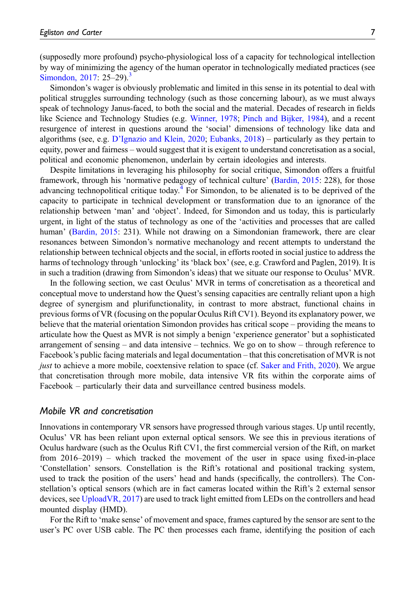(supposedly more profound) psycho-physiological loss of a capacity for technological intellection by way of minimizing the agency of the human operator in technologically mediated practices (see [Simondon, 2017:](#page-14-3)  $25-29$ .<sup>[3](#page-12-8)</sup>

Simondon's wager is obviously problematic and limited in this sense in its potential to deal with political struggles surrounding technology (such as those concerning labour), as we must always speak of technology Janus-faced, to both the social and the material. Decades of research in fields like Science and Technology Studies (e.g. [Winner, 1978;](#page-15-2) [Pinch and Bijker, 1984\)](#page-14-10), and a recent resurgence of interest in questions around the 'social' dimensions of technology like data and algorithms (see, e.g. D'[Ignazio and Klein, 2020](#page-13-11); [Eubanks, 2018\)](#page-13-12) – particularly as they pertain to equity, power and fairness – would suggest that it is exigent to understand concretisation as a social, political and economic phenomenon, underlain by certain ideologies and interests.

Despite limitations in leveraging his philosophy for social critique, Simondon offers a fruitful framework, through his 'normative pedagogy of technical culture' [\(Bardin, 2015:](#page-12-2) 228), for those advancing technopolitical critique today.<sup>[4](#page-12-9)</sup> For Simondon, to be alienated is to be deprived of the capacity to participate in technical development or transformation due to an ignorance of the relationship between 'man' and 'object'. Indeed, for Simondon and us today, this is particularly urgent, in light of the status of technology as one of the 'activities and processes that are called human' ([Bardin, 2015:](#page-12-2) 231). While not drawing on a Simondonian framework, there are clear resonances between Simondon's normative mechanology and recent attempts to understand the relationship between technical objects and the social, in efforts rooted in social justice to address the harms of technology through 'unlocking' its 'black box' (see, e.g. Crawford and Paglen, 2019). It is in such a tradition (drawing from Simondon's ideas) that we situate our response to Oculus' MVR.

In the following section, we cast Oculus' MVR in terms of concretisation as a theoretical and conceptual move to understand how the Quest's sensing capacities are centrally reliant upon a high degree of synergism and plurifunctionality, in contrast to more abstract, functional chains in previous forms of VR (focusing on the popular Oculus Rift CV1). Beyond its explanatory power, we believe that the material orientation Simondon provides has critical scope – providing the means to articulate how the Quest as MVR is not simply a benign 'experience generator' but a sophisticated arrangement of sensing – and data intensive – technics. We go on to show – through reference to Facebook's public facing materials and legal documentation – that this concretisation of MVR is not just to achieve a more mobile, coextensive relation to space (cf. [Saker and Frith, 2020\)](#page-14-0). We argue that concretisation through more mobile, data intensive VR fits within the corporate aims of Facebook – particularly their data and surveillance centred business models.

## Mobile VR and concretisation

Innovations in contemporary VR sensors have progressed through various stages. Up until recently, Oculus' VR has been reliant upon external optical sensors. We see this in previous iterations of Oculus hardware (such as the Oculus Rift CV1, the first commercial version of the Rift, on market from 2016–2019) – which tracked the movement of the user in space using fixed-in-place 'Constellation' sensors. Constellation is the Rift's rotational and positional tracking system, used to track the position of the users' head and hands (specifically, the controllers). The Constellation's optical sensors (which are in fact cameras located within the Rift's 2 external sensor devices, see [UploadVR, 2017](#page-14-11)) are used to track light emitted from LEDs on the controllers and head mounted display (HMD).

For the Rift to 'make sense' of movement and space, frames captured by the sensor are sent to the user's PC over USB cable. The PC then processes each frame, identifying the position of each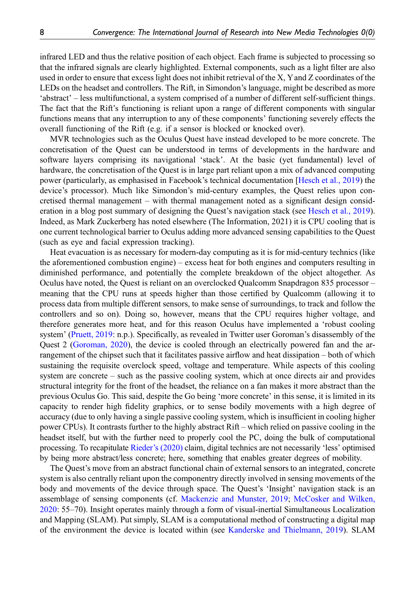infrared LED and thus the relative position of each object. Each frame is subjected to processing so that the infrared signals are clearly highlighted. External components, such as a light filter are also used in order to ensure that excess light does not inhibit retrieval of the X, Yand Z coordinates of the LEDs on the headset and controllers. The Rift, in Simondon's language, might be described as more 'abstract' – less multifunctional, a system comprised of a number of different self-sufficient things. The fact that the Rift's functioning is reliant upon a range of different components with singular functions means that any interruption to any of these components' functioning severely effects the overall functioning of the Rift (e.g. if a sensor is blocked or knocked over).

MVR technologies such as the Oculus Quest have instead developed to be more concrete. The concretisation of the Quest can be understood in terms of developments in the hardware and software layers comprising its navigational 'stack'. At the basic (yet fundamental) level of hardware, the concretisation of the Quest is in large part reliant upon a mix of advanced computing power (particularly, as emphasised in Facebook's technical documentation [\[Hesch et al., 2019\)](#page-13-13) the device's processor). Much like Simondon's mid-century examples, the Quest relies upon concretised thermal management – with thermal management noted as a significant design consideration in a blog post summary of designing the Quest's navigation stack (see [Hesch et al., 2019](#page-13-13)). Indeed, as Mark Zuckerberg has noted elsewhere (The Information, 2021) it is CPU cooling that is one current technological barrier to Oculus adding more advanced sensing capabilities to the Quest (such as eye and facial expression tracking).

Heat evacuation is as necessary for modern-day computing as it is for mid-century technics (like the aforementioned combustion engine) – excess heat for both engines and computers resulting in diminished performance, and potentially the complete breakdown of the object altogether. As Oculus have noted, the Quest is reliant on an overclocked Qualcomm Snapdragon 835 processor – meaning that the CPU runs at speeds higher than those certified by Qualcomm (allowing it to process data from multiple different sensors, to make sense of surroundings, to track and follow the controllers and so on). Doing so, however, means that the CPU requires higher voltage, and therefore generates more heat, and for this reason Oculus have implemented a 'robust cooling system' [\(Pruett, 2019:](#page-14-12) n.p.). Specifically, as revealed in Twitter user Goroman's disassembly of the Quest 2 ([Goroman, 2020](#page-13-14)), the device is cooled through an electrically powered fan and the arrangement of the chipset such that it facilitates passive airflow and heat dissipation – both of which sustaining the requisite overclock speed, voltage and temperature. While aspects of this cooling system are concrete – such as the passive cooling system, which at once directs air and provides structural integrity for the front of the headset, the reliance on a fan makes it more abstract than the previous Oculus Go. This said, despite the Go being 'more concrete' in this sense, it is limited in its capacity to render high fidelity graphics, or to sense bodily movements with a high degree of accuracy (due to only having a single passive cooling system, which is insufficient in cooling higher power CPUs). It contrasts further to the highly abstract Rift – which relied on passive cooling in the headset itself, but with the further need to properly cool the PC, doing the bulk of computational processing. To recapitulate Rieder'[s \(2020\)](#page-14-9) claim, digital technics are not necessarily 'less' optimised by being more abstract/less concrete; here, something that enables greater degrees of mobility.

The Quest's move from an abstract functional chain of external sensors to an integrated, concrete system is also centrally reliant upon the componentry directly involved in sensing movements of the body and movements of the device through space. The Quest's 'Insight' navigation stack is an assemblage of sensing components (cf. [Mackenzie and Munster, 2019;](#page-14-13) [McCosker and Wilken,](#page-14-14) [2020](#page-14-14): 55–70). Insight operates mainly through a form of visual-inertial Simultaneous Localization and Mapping (SLAM). Put simply, SLAM is a computational method of constructing a digital map of the environment the device is located within (see [Kanderske and Thielmann, 2019\)](#page-13-15). SLAM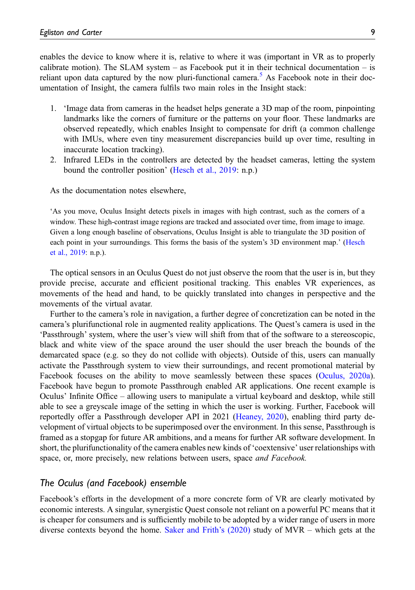enables the device to know where it is, relative to where it was (important in VR as to properly calibrate motion). The SLAM system – as Facebook put it in their technical documentation – is reliant upon data captured by the now pluri-functional camera.<sup>[5](#page-12-10)</sup> As Facebook note in their documentation of Insight, the camera fulfils two main roles in the Insight stack:

- 1. 'Image data from cameras in the headset helps generate a 3D map of the room, pinpointing landmarks like the corners of furniture or the patterns on your floor. These landmarks are observed repeatedly, which enables Insight to compensate for drift (a common challenge with IMUs, where even tiny measurement discrepancies build up over time, resulting in inaccurate location tracking).
- 2. Infrared LEDs in the controllers are detected by the headset cameras, letting the system bound the controller position' ([Hesch et al., 2019:](#page-13-13) n.p.)

As the documentation notes elsewhere,

'As you move, Oculus Insight detects pixels in images with high contrast, such as the corners of a window. These high-contrast image regions are tracked and associated over time, from image to image. Given a long enough baseline of observations, Oculus Insight is able to triangulate the 3D position of each point in your surroundings. This forms the basis of the system's 3D environment map.' ([Hesch](#page-13-13) [et al., 2019](#page-13-13): n.p.).

The optical sensors in an Oculus Quest do not just observe the room that the user is in, but they provide precise, accurate and efficient positional tracking. This enables VR experiences, as movements of the head and hand, to be quickly translated into changes in perspective and the movements of the virtual avatar.

Further to the camera's role in navigation, a further degree of concretization can be noted in the camera's plurifunctional role in augmented reality applications. The Quest's camera is used in the 'Passthrough' system, where the user's view will shift from that of the software to a stereoscopic, black and white view of the space around the user should the user breach the bounds of the demarcated space (e.g. so they do not collide with objects). Outside of this, users can manually activate the Passthrough system to view their surroundings, and recent promotional material by Facebook focuses on the ability to move seamlessly between these spaces [\(Oculus, 2020a](#page-14-15)). Facebook have begun to promote Passthrough enabled AR applications. One recent example is Oculus' Infinite Office – allowing users to manipulate a virtual keyboard and desktop, while still able to see a greyscale image of the setting in which the user is working. Further, Facebook will reportedly offer a Passthrough developer API in 2021 ([Heaney, 2020\)](#page-13-16), enabling third party development of virtual objects to be superimposed over the environment. In this sense, Passthrough is framed as a stopgap for future AR ambitions, and a means for further AR software development. In short, the plurifunctionality of the camera enables new kinds of 'coextensive' user relationships with space, or, more precisely, new relations between users, space and Facebook.

# The Oculus (and Facebook) ensemble

Facebook's efforts in the development of a more concrete form of VR are clearly motivated by economic interests. A singular, synergistic Quest console not reliant on a powerful PC means that it is cheaper for consumers and is sufficiently mobile to be adopted by a wider range of users in more diverse contexts beyond the home. [Saker and Frith](#page-14-0)'s (2020) study of MVR – which gets at the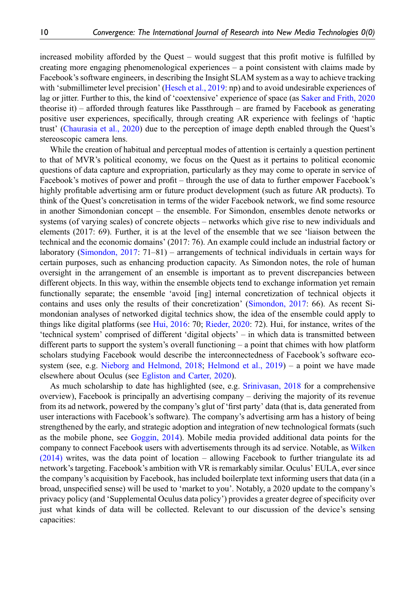increased mobility afforded by the Quest – would suggest that this profit motive is fulfilled by creating more engaging phenomenological experiences – a point consistent with claims made by Facebook's software engineers, in describing the Insight SLAM system as a way to achieve tracking with 'submillimeter level precision' [\(Hesch et al., 2019](#page-13-13): np) and to avoid undesirable experiences of lag or jitter. Further to this, the kind of 'coextensive' experience of space (as [Saker and Frith, 2020](#page-14-0) theorise it) – afforded through features like Passthrough – are framed by Facebook as generating positive user experiences, specifically, through creating AR experience with feelings of 'haptic trust' [\(Chaurasia et al., 2020](#page-13-17)) due to the perception of image depth enabled through the Quest's stereoscopic camera lens.

While the creation of habitual and perceptual modes of attention is certainly a question pertinent to that of MVR's political economy, we focus on the Quest as it pertains to political economic questions of data capture and expropriation, particularly as they may come to operate in service of Facebook's motives of power and profit – through the use of data to further empower Facebook's highly profitable advertising arm or future product development (such as future AR products). To think of the Quest's concretisation in terms of the wider Facebook network, we find some resource in another Simondonian concept – the ensemble. For Simondon, ensembles denote networks or systems (of varying scales) of concrete objects – networks which give rise to new individuals and elements (2017: 69). Further, it is at the level of the ensemble that we see 'liaison between the technical and the economic domains' (2017: 76). An example could include an industrial factory or laboratory [\(Simondon, 2017:](#page-14-3) 71–81) – arrangements of technical individuals in certain ways for certain purposes, such as enhancing production capacity. As Simondon notes, the role of human oversight in the arrangement of an ensemble is important as to prevent discrepancies between different objects. In this way, within the ensemble objects tend to exchange information yet remain functionally separate; the ensemble 'avoid [ing] internal concretization of technical objects it contains and uses only the results of their concretization' ([Simondon, 2017:](#page-14-3) 66). As recent Simondonian analyses of networked digital technics show, the idea of the ensemble could apply to things like digital platforms (see [Hui, 2016:](#page-13-18) 70; [Rieder, 2020:](#page-14-9) 72). Hui, for instance, writes of the 'technical system' comprised of different 'digital objects' – in which data is transmitted between different parts to support the system's overall functioning – a point that chimes with how platform scholars studying Facebook would describe the interconnectedness of Facebook's software eco-system (see, e.g. [Nieborg and Helmond, 2018;](#page-14-16) [Helmond et al., 2019\)](#page-13-19) – a point we have made elsewhere about Oculus (see [Egliston and Carter, 2020\)](#page-13-1).

As much scholarship to date has highlighted (see, e.g. [Srinivasan, 2018](#page-14-17) for a comprehensive overview), Facebook is principally an advertising company – deriving the majority of its revenue from its ad network, powered by the company's glut of 'first party' data (that is, data generated from user interactions with Facebook's software). The company's advertising arm has a history of being strengthened by the early, and strategic adoption and integration of new technological formats (such as the mobile phone, see [Goggin, 2014](#page-13-20)). Mobile media provided additional data points for the company to connect Facebook users with advertisements through its ad service. Notable, as [Wilken](#page-15-0) [\(2014\)](#page-15-0) writes, was the data point of location – allowing Facebook to further triangulate its ad network's targeting. Facebook's ambition with VR is remarkably similar. Oculus' EULA, ever since the company's acquisition by Facebook, has included boilerplate text informing users that data (in a broad, unspecified sense) will be used to 'market to you'. Notably, a 2020 update to the company's privacy policy (and 'Supplemental Oculus data policy') provides a greater degree of specificity over just what kinds of data will be collected. Relevant to our discussion of the device's sensing capacities: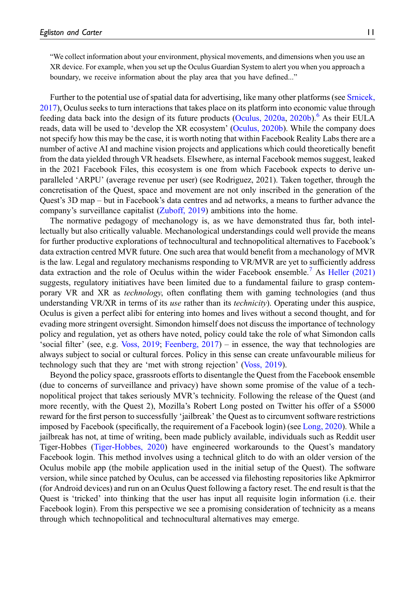"We collect information about your environment, physical movements, and dimensions when you use an XR device. For example, when you set up the Oculus Guardian System to alert you when you approach a boundary, we receive information about the play area that you have defined..."

Further to the potential use of spatial data for advertising, like many other platforms (see [Srnicek,](#page-14-18) [2017](#page-14-18)), Oculus seeks to turn interactions that takes place on its platform into economic value through feeding data back into the design of its future products [\(Oculus, 2020a](#page-14-15), [2020b\)](#page-14-19).<sup>[6](#page-12-11)</sup> As their EULA reads, data will be used to 'develop the XR ecosystem' ([Oculus, 2020b\)](#page-14-19). While the company does not specify how this may be the case, it is worth noting that within Facebook Reality Labs there are a number of active AI and machine vision projects and applications which could theoretically benefit from the data yielded through VR headsets. Elsewhere, as internal Facebook memos suggest, leaked in the 2021 Facebook Files, this ecosystem is one from which Facebook expects to derive unparalleled 'ARPU' (average revenue per user) (see Rodriguez, 2021). Taken together, through the concretisation of the Quest, space and movement are not only inscribed in the generation of the Quest's 3D map – but in Facebook's data centres and ad networks, a means to further advance the company's surveillance capitalist [\(Zuboff, 2019\)](#page-15-3) ambitions into the home.

The normative pedagogy of mechanology is, as we have demonstrated thus far, both intellectually but also critically valuable. Mechanological understandings could well provide the means for further productive explorations of technocultural and technopolitical alternatives to Facebook's data extraction centred MVR future. One such area that would benefit from a mechanology of MVR is the law. Legal and regulatory mechanisms responding to VR/MVR are yet to sufficiently address data extraction and the role of Oculus within the wider Facebook ensemble.<sup>[7](#page-12-12)</sup> As [Heller \(2021\)](#page-13-21) suggests, regulatory initiatives have been limited due to a fundamental failure to grasp contemporary VR and XR as technology, often conflating them with gaming technologies (and thus understanding VR/XR in terms of its use rather than its *technicity*). Operating under this auspice, Oculus is given a perfect alibi for entering into homes and lives without a second thought, and for evading more stringent oversight. Simondon himself does not discuss the importance of technology policy and regulation, yet as others have noted, policy could take the role of what Simondon calls 'social filter' (see, e.g. [Voss, 2019](#page-15-4); [Feenberg, 2017](#page-13-22)) – in essence, the way that technologies are always subject to social or cultural forces. Policy in this sense can create unfavourable milieus for technology such that they are 'met with strong rejection' [\(Voss, 2019\)](#page-15-4).

Beyond the policy space, grassroots efforts to disentangle the Quest from the Facebook ensemble (due to concerns of surveillance and privacy) have shown some promise of the value of a technopolitical project that takes seriously MVR's technicity. Following the release of the Quest (and more recently, with the Quest 2), Mozilla's Robert Long posted on Twitter his offer of a \$5000 reward for the first person to successfully 'jailbreak' the Quest as to circumvent software restrictions imposed by Facebook (specifically, the requirement of a Facebook login) (see [Long, 2020](#page-14-20)). While a jailbreak has not, at time of writing, been made publicly available, individuals such as Reddit user Tiger-Hobbes ([Tiger-Hobbes, 2020](#page-14-21)) have engineered workarounds to the Quest's mandatory Facebook login. This method involves using a technical glitch to do with an older version of the Oculus mobile app (the mobile application used in the initial setup of the Quest). The software version, while since patched by Oculus, can be accessed via filehosting repositories like Apkmirror (for Android devices) and run on an Oculus Quest following a factory reset. The end result is that the Quest is 'tricked' into thinking that the user has input all requisite login information (i.e. their Facebook login). From this perspective we see a promising consideration of technicity as a means through which technopolitical and technocultural alternatives may emerge.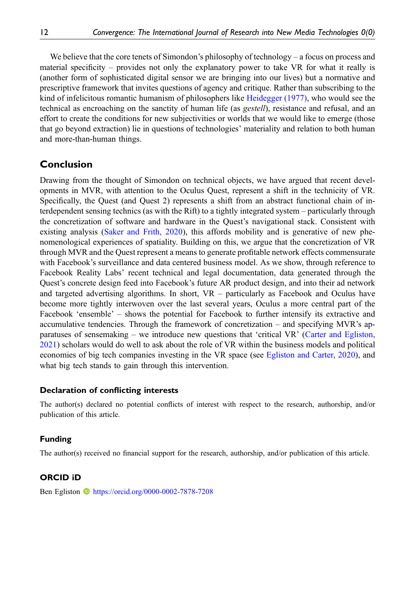We believe that the core tenets of Simondon's philosophy of technology – a focus on process and material specificity – provides not only the explanatory power to take VR for what it really is (another form of sophisticated digital sensor we are bringing into our lives) but a normative and prescriptive framework that invites questions of agency and critique. Rather than subscribing to the kind of infelicitous romantic humanism of philosophers like [Heidegger \(1977\),](#page-13-23) who would see the technical as encroaching on the sanctity of human life (as *gestell*), resistance and refusal, and an effort to create the conditions for new subjectivities or worlds that we would like to emerge (those that go beyond extraction) lie in questions of technologies' materiality and relation to both human and more-than-human things.

# Conclusion

Drawing from the thought of Simondon on technical objects, we have argued that recent developments in MVR, with attention to the Oculus Quest, represent a shift in the technicity of VR. Specifically, the Quest (and Quest 2) represents a shift from an abstract functional chain of interdependent sensing technics (as with the Rift) to a tightly integrated system – particularly through the concretization of software and hardware in the Quest's navigational stack. Consistent with existing analysis ([Saker and Frith, 2020](#page-14-0)), this affords mobility and is generative of new phenomenological experiences of spatiality. Building on this, we argue that the concretization of VR through MVR and the Quest represent a means to generate profitable network effects commensurate with Facebook's surveillance and data centered business model. As we show, through reference to Facebook Reality Labs' recent technical and legal documentation, data generated through the Quest's concrete design feed into Facebook's future AR product design, and into their ad network and targeted advertising algorithms. In short, VR – particularly as Facebook and Oculus have become more tightly interwoven over the last several years, Oculus a more central part of the Facebook 'ensemble' – shows the potential for Facebook to further intensify its extractive and accumulative tendencies. Through the framework of concretization – and specifying MVR's apparatuses of sensemaking – we introduce new questions that 'critical VR' [\(Carter and Egliston,](#page-12-13) [2021](#page-12-13)) scholars would do well to ask about the role of VR within the business models and political economies of big tech companies investing in the VR space (see [Egliston and Carter, 2020\)](#page-13-1), and what big tech stands to gain through this intervention.

#### Declaration of conflicting interests

The author(s) declared no potential conflicts of interest with respect to the research, authorship, and/or publication of this article.

#### Funding

The author(s) received no financial support for the research, authorship, and/or publication of this article.

#### ORCID iD

Ben Egliston **I** <https://orcid.org/0000-0002-7878-7208>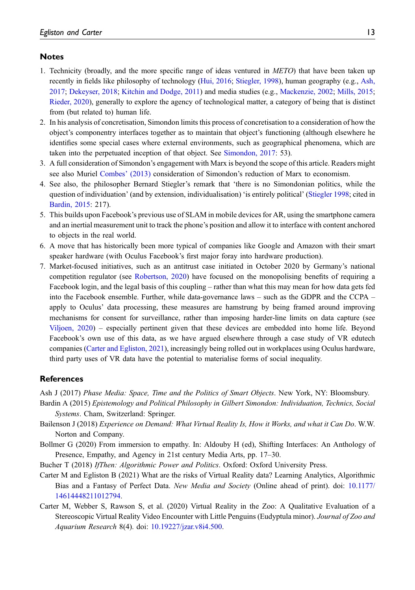# **Notes**

- <span id="page-12-6"></span>1. Technicity (broadly, and the more specific range of ideas ventured in METO) that have been taken up recently in fields like philosophy of technology ([Hui, 2016;](#page-13-18) [Stiegler, 1998\)](#page-14-22), human geography (e.g., [Ash,](#page-12-3) [2017](#page-12-3); [Dekeyser, 2018](#page-13-24); [Kitchin and Dodge, 2011](#page-14-23)) and media studies (e.g., [Mackenzie, 2002;](#page-14-8) [Mills, 2015](#page-14-7); [Rieder, 2020\)](#page-14-9), generally to explore the agency of technological matter, a category of being that is distinct from (but related to) human life.
- <span id="page-12-7"></span>2. In his analysis of concretisation, Simondon limits this process of concretisation to a consideration of how the object's componentry interfaces together as to maintain that object's functioning (although elsewhere he identifies some special cases where external environments, such as geographical phenomena, which are taken into the perpetuated inception of that object. See [Simondon, 2017:](#page-14-3) 53).
- <span id="page-12-8"></span>3. A full consideration of Simondon's engagement with Marx is beyond the scope of this article. Readers might see also Muriel [Combes](#page-13-9)' (2013) consideration of Simondon's reduction of Marx to economism.
- <span id="page-12-9"></span>4. See also, the philosopher Bernard Stiegler's remark that 'there is no Simondonian politics, while the question of individuation' (and by extension, individualisation) 'is entirely political' [\(Stiegler 1998](#page-14-22); cited in [Bardin, 2015:](#page-12-2) 217).
- <span id="page-12-10"></span>5. This builds upon Facebook's previous use of SLAM in mobile devices for AR, using the smartphone camera and an inertial measurement unit to track the phone's position and allow it to interface with content anchored to objects in the real world.
- <span id="page-12-11"></span>6. A move that has historically been more typical of companies like Google and Amazon with their smart speaker hardware (with Oculus Facebook's first major foray into hardware production).
- <span id="page-12-12"></span>7. Market-focused initiatives, such as an antitrust case initiated in October 2020 by Germany's national competition regulator (see [Robertson, 2020\)](#page-14-24) have focused on the monopolising benefits of requiring a Facebook login, and the legal basis of this coupling – rather than what this may mean for how data gets fed into the Facebook ensemble. Further, while data-governance laws – such as the GDPR and the CCPA – apply to Oculus' data processing, these measures are hamstrung by being framed around improving mechanisms for consent for surveillance, rather than imposing harder-line limits on data capture (see [Viljoen, 2020\)](#page-15-5) – especially pertinent given that these devices are embedded into home life. Beyond Facebook's own use of this data, as we have argued elsewhere through a case study of VR edutech companies [\(Carter and](#page-12-13) [Egliston, 2021\)](#page-13-3), increasingly being rolled out in workplaces using Oculus hardware, third party uses of VR data have the potential to materialise forms of social inequality.

#### References

<span id="page-12-3"></span><span id="page-12-2"></span>Ash J (2017) Phase Media: Space, Time and the Politics of Smart Objects. New York, NY: Bloomsbury.

- Bardin A (2015) Epistemology and Political Philosophy in Gilbert Simondon: Individuation, Technics, Social Systems. Cham, Switzerland: Springer.
- <span id="page-12-4"></span>Bailenson J (2018) Experience on Demand: What Virtual Reality Is, How it Works, and what it Can Do. W.W. Norton and Company.
- <span id="page-12-0"></span>Bollmer G (2020) From immersion to empathy. In: Aldouby H (ed), Shifting Interfaces: An Anthology of Presence, Empathy, and Agency in 21st century Media Arts, pp. 17–30.
- <span id="page-12-13"></span><span id="page-12-1"></span>Bucher T (2018) IfThen: Algorithmic Power and Politics. Oxford: Oxford University Press.
- Carter M and Egliston B (2021) What are the risks of Virtual Reality data? Learning Analytics, Algorithmic Bias and a Fantasy of Perfect Data. New Media and Society (Online ahead of print). doi: [10.1177/](https://doi.org/10.1177/14614448211012794) [14614448211012794](https://doi.org/10.1177/14614448211012794).
- <span id="page-12-5"></span>Carter M, Webber S, Rawson S, et al. (2020) Virtual Reality in the Zoo: A Qualitative Evaluation of a Stereoscopic Virtual Reality Video Encounter with Little Penguins (Eudyptula minor). Journal of Zoo and Aquarium Research 8(4). doi: [10.19227/jzar.v8i4.500.](https://doi.org/10.19227/jzar.v8i4.500)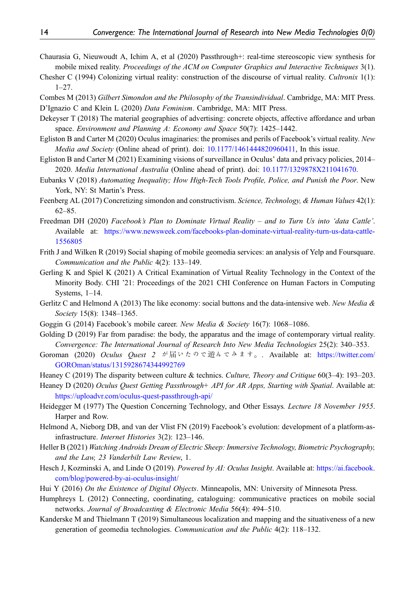- <span id="page-13-17"></span>Chaurasia G, Nieuwoudt A, Ichim A, et al (2020) Passthrough+: real-time stereoscopic view synthesis for mobile mixed reality. Proceedings of the ACM on Computer Graphics and Interactive Techniques 3(1).
- <span id="page-13-0"></span>Chesher C (1994) Colonizing virtual reality: construction of the discourse of virtual reality. Cultronix 1(1): 1–27.
- <span id="page-13-11"></span><span id="page-13-9"></span>Combes M (2013) Gilbert Simondon and the Philosophy of the Transindividual. Cambridge, MA: MIT Press. D'Ignazio C and Klein L (2020) Data Feminism. Cambridge, MA: MIT Press.
- <span id="page-13-24"></span>Dekeyser T (2018) The material geographies of advertising: concrete objects, affective affordance and urban space. Environment and Planning A: Economy and Space 50(7): 1425–1442.
- <span id="page-13-1"></span>Egliston B and Carter M (2020) Oculus imaginaries: the promises and perils of Facebook's virtual reality. New Media and Society (Online ahead of print). doi: [10.1177/1461444820960411](https://doi.org/10.1177/1461444820960411). In this issue.
- <span id="page-13-3"></span>Egliston B and Carter M (2021) Examining visions of surveillance in Oculus' data and privacy policies, 2014– 2020. Media International Australia (Online ahead of print). doi: [10.1177/1329878X211041670.](https://doi.org/10.1177/1329878X211041670)
- <span id="page-13-12"></span>Eubanks V (2018) Automating Inequality; How High-Tech Tools Profile, Police, and Punish the Poor. New York, NY: St Martin's Press.
- <span id="page-13-22"></span>Feenberg AL (2017) Concretizing simondon and constructivism. Science, Technology, & Human Values 42(1): 62–85.
- <span id="page-13-2"></span>Freedman DH (2020) Facebook's Plan to Dominate Virtual Reality – and to Turn Us into 'data Cattle'. Available at: [https://www.newsweek.com/facebooks-plan-dominate-virtual-reality-turn-us-data-cattle-](https://www.newsweek.com/facebooks-plan-dominate-virtual-reality-turn-us-data-cattle-1556805)[1556805](https://www.newsweek.com/facebooks-plan-dominate-virtual-reality-turn-us-data-cattle-1556805)
- <span id="page-13-8"></span>Frith J and Wilken R (2019) Social shaping of mobile geomedia services: an analysis of Yelp and Foursquare. Communication and the Public 4(2): 133–149.
- <span id="page-13-6"></span>Gerling K and Spiel K (2021) A Critical Examination of Virtual Reality Technology in the Context of the Minority Body. CHI '21: Proceedings of the 2021 CHI Conference on Human Factors in Computing Systems, 1–14.
- <span id="page-13-4"></span>Gerlitz C and Helmond A (2013) The like economy: social buttons and the data-intensive web. New Media  $\&$ Society 15(8): 1348–1365.
- <span id="page-13-20"></span>Goggin G (2014) Facebook's mobile career. New Media & Society 16(7): 1068–1086.
- <span id="page-13-5"></span>Golding D (2019) Far from paradise: the body, the apparatus and the image of contemporary virtual reality. Convergence: The International Journal of Research Into New Media Technologies 25(2): 340–353.
- <span id="page-13-14"></span>Goroman (2020) Oculus Ouest 2 が届いたので遊んでみます。. Available at: [https://twitter.com/](https://twitter.com/GOROman/status/1315928674344992769) [GOROman/status/1315928674344992769](https://twitter.com/GOROman/status/1315928674344992769)
- <span id="page-13-10"></span>Heaney C (2019) The disparity between culture & technics. Culture, Theory and Critique 60(3–4): 193–203.
- <span id="page-13-16"></span>Heaney D (2020) Oculus Quest Getting Passthrough+ API for AR Apps, Starting with Spatial. Available at: <https://uploadvr.com/oculus-quest-passthrough-api/>
- <span id="page-13-23"></span>Heidegger M (1977) The Question Concerning Technology, and Other Essays. Lecture 18 November 1955. Harper and Row.
- <span id="page-13-19"></span>Helmond A, Nieborg DB, and van der Vlist FN (2019) Facebook's evolution: development of a platform-asinfrastructure. Internet Histories 3(2): 123–146.
- <span id="page-13-21"></span>Heller B (2021) Watching Androids Dream of Electric Sheep: Immersive Technology, Biometric Psychography, and the Law, 23 Vanderbilt Law Review, 1.
- <span id="page-13-13"></span>Hesch J, Kozminski A, and Linde O (2019). Powered by AI: Oculus Insight. Available at: [https://ai.facebook.](https://ai.facebook.com/blog/powered-by-ai-oculus-insight/) [com/blog/powered-by-ai-oculus-insight/](https://ai.facebook.com/blog/powered-by-ai-oculus-insight/)
- <span id="page-13-18"></span><span id="page-13-7"></span>Hui Y (2016) On the Existence of Digital Objects. Minneapolis, MN: University of Minnesota Press.
- Humphreys L (2012) Connecting, coordinating, cataloguing: communicative practices on mobile social networks. Journal of Broadcasting & Electronic Media 56(4): 494–510.
- <span id="page-13-15"></span>Kanderske M and Thielmann T (2019) Simultaneous localization and mapping and the situativeness of a new generation of geomedia technologies. Communication and the Public 4(2): 118–132.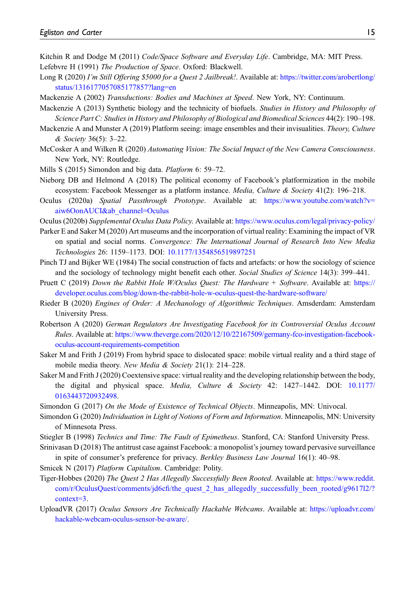- <span id="page-14-23"></span><span id="page-14-5"></span>Kitchin R and Dodge M (2011) Code/Space Software and Everyday Life. Cambridge, MA: MIT Press. Lefebvre H (1991) The Production of Space. Oxford: Blackwell.
- <span id="page-14-20"></span>Long R (2020) I'm Still Offering \$5000 for a Quest 2 Jailbreak!. Available at: [https://twitter.com/arobertlong/](https://twitter.com/arobertlong/status/1316177057085177857?lang=en) [status/1316177057085177857?lang=en](https://twitter.com/arobertlong/status/1316177057085177857?lang=en)
- <span id="page-14-8"></span><span id="page-14-2"></span>Mackenzie A (2002) Transductions: Bodies and Machines at Speed. New York, NY: Continuum.
- Mackenzie A (2013) Synthetic biology and the technicity of biofuels. Studies in History and Philosophy of Science Part C: Studies in History and Philosophy of Biological and Biomedical Sciences 44(2): 190–198.
- <span id="page-14-13"></span>Mackenzie A and Munster A (2019) Platform seeing: image ensembles and their invisualities. *Theory, Culture* & Society 36(5): 3–22.
- <span id="page-14-14"></span>McCosker A and Wilken R (2020) Automating Vision: The Social Impact of the New Camera Consciousness. New York, NY: Routledge.
- <span id="page-14-16"></span><span id="page-14-7"></span>Mills S (2015) Simondon and big data. Platform 6: 59–72.
- Nieborg DB and Helmond A (2018) The political economy of Facebook's platformization in the mobile ecosystem: Facebook Messenger as a platform instance. *Media, Culture & Society* 41(2): 196–218.
- <span id="page-14-15"></span>Oculus (2020a) Spatial Passthrough Prototype. Available at: [https://www.youtube.com/watch?v=](https://www.youtube.com/watch?v=aiw6OonAUCI&ab_channel=Oculus) [aiw6OonAUCI&ab\\_channel=Oculus](https://www.youtube.com/watch?v=aiw6OonAUCI&ab_channel=Oculus)
- <span id="page-14-19"></span><span id="page-14-4"></span>Oculus (2020b) Supplemental Oculus Data Policy. Available at: <https://www.oculus.com/legal/privacy-policy/>
- Parker E and Saker M (2020) Art museums and the incorporation of virtual reality: Examining the impact of VR on spatial and social norms. Convergence: The International Journal of Research Into New Media Technologies 26: 1159–1173. DOI: [10.1177/1354856519897251](https://doi.org/10.1177/1354856519897251)
- <span id="page-14-10"></span>Pinch TJ and Bijker WE (1984) The social construction of facts and artefacts: or how the sociology of science and the sociology of technology might benefit each other. Social Studies of Science 14(3): 399–441.
- <span id="page-14-12"></span>Pruett C (2019) Down the Rabbit Hole W/Oculus Quest: The Hardware + Software. Available at: [https://](https://developer.oculus.com/blog/down-the-rabbit-hole-w-oculus-quest-the-hardware-software/) [developer.oculus.com/blog/down-the-rabbit-hole-w-oculus-quest-the-hardware-software/](https://developer.oculus.com/blog/down-the-rabbit-hole-w-oculus-quest-the-hardware-software/)
- <span id="page-14-9"></span>Rieder B (2020) Engines of Order: A Mechanology of Algorithmic Techniques. Amsderdam: Amsterdam University Press.
- <span id="page-14-24"></span>Robertson A (2020) German Regulators Are Investigating Facebook for its Controversial Oculus Account Rules. Available at: [https://www.theverge.com/2020/12/10/22167509/germany-fco-investigation-facebook](https://www.theverge.com/2020/12/10/22167509/germany-fco-investigation-facebook-oculus-account-requirements-competition)[oculus-account-requirements-competition](https://www.theverge.com/2020/12/10/22167509/germany-fco-investigation-facebook-oculus-account-requirements-competition)
- <span id="page-14-1"></span>Saker M and Frith J (2019) From hybrid space to dislocated space: mobile virtual reality and a third stage of mobile media theory. New Media & Society 21(1): 214–228.
- <span id="page-14-0"></span>Saker M and Frith J (2020) Coextensive space: virtual reality and the developing relationship between the body, the digital and physical space. *Media, Culture & Society* 42: 1427–1442. DOI: [10.1177/](https://doi.org/10.1177/0163443720932498) [0163443720932498.](https://doi.org/10.1177/0163443720932498)
- <span id="page-14-6"></span><span id="page-14-3"></span>Simondon G (2017) On the Mode of Existence of Technical Objects. Minneapolis, MN: Univocal.
- Simondon G (2020) Individuation in Light of Notions of Form and Information. Minneapolis, MN: University of Minnesota Press.
- <span id="page-14-22"></span><span id="page-14-17"></span>Stiegler B (1998) Technics and Time: The Fault of Epimetheus. Stanford, CA: Stanford University Press.
- Srinivasan D (2018) The antitrust case against Facebook: a monopolist's journey toward pervasive surveillance in spite of consumer's preference for privacy. Berkley Business Law Journal 16(1): 40–98.
- <span id="page-14-21"></span><span id="page-14-18"></span>Srnicek N (2017) *Platform Capitalism*. Cambridge: Polity.
- Tiger-Hobbes (2020) The Quest 2 Has Allegedly Successfully Been Rooted. Available at: [https://www.reddit.](https://www.reddit.com/r/OculusQuest/comments/jd6cfi/the_quest_2_has_allegedly_successfully_been_rooted/g9617l2/?context=3) com/r/OculusQuest/comments/jd6cfi[/the\\_quest\\_2\\_has\\_allegedly\\_successfully\\_been\\_rooted/g9617l2/?](https://www.reddit.com/r/OculusQuest/comments/jd6cfi/the_quest_2_has_allegedly_successfully_been_rooted/g9617l2/?context=3) [context=3.](https://www.reddit.com/r/OculusQuest/comments/jd6cfi/the_quest_2_has_allegedly_successfully_been_rooted/g9617l2/?context=3)
- <span id="page-14-11"></span>UploadVR (2017) Oculus Sensors Are Technically Hackable Webcams. Available at: [https://uploadvr.com/](https://uploadvr.com/hackable-webcam-oculus-sensor-be-aware/) [hackable-webcam-oculus-sensor-be-aware/.](https://uploadvr.com/hackable-webcam-oculus-sensor-be-aware/)